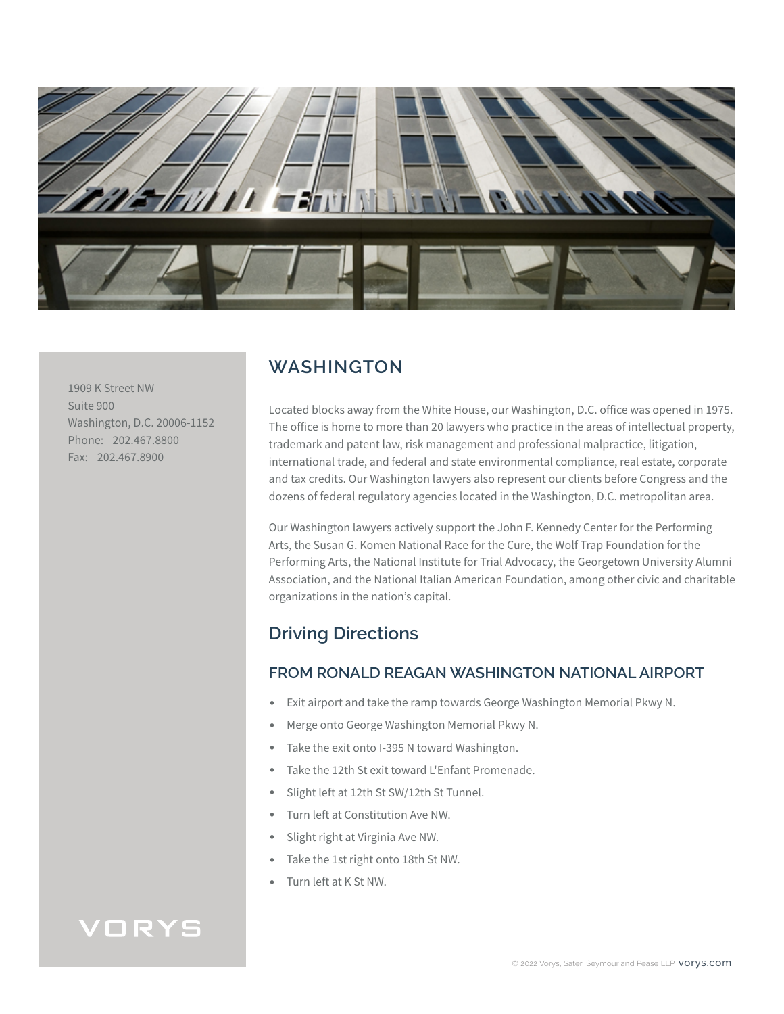

1909 K Street NW Suite 900 Washington, D.C. 20006-1152 Phone: 202.467.8800 Fax: 202.467.8900

## **WASHINGTON**

Located blocks away from the White House, our Washington, D.C. office was opened in 1975. The office is home to more than 20 lawyers who practice in the areas of intellectual property, trademark and patent law, risk management and professional malpractice, litigation, international trade, and federal and state environmental compliance, real estate, corporate and tax credits. Our Washington lawyers also represent our clients before Congress and the dozens of federal regulatory agencies located in the Washington, D.C. metropolitan area.

Our Washington lawyers actively support the John F. Kennedy Center for the Performing Arts, the Susan G. Komen National Race for the Cure, the Wolf Trap Foundation for the Performing Arts, the National Institute for Trial Advocacy, the Georgetown University Alumni Association, and the National Italian American Foundation, among other civic and charitable organizations in the nation's capital.

# **Driving Directions**

### **FROM RONALD REAGAN WASHINGTON NATIONAL AIRPORT**

- Exit airport and take the ramp towards George Washington Memorial Pkwy N.
- Merge onto George Washington Memorial Pkwy N.
- Take the exit onto I-395 N toward Washington.
- Take the 12th St exit toward L'Enfant Promenade.
- Slight left at 12th St SW/12th St Tunnel.
- Turn left at Constitution Ave NW.
- Slight right at Virginia Ave NW.
- Take the 1st right onto 18th St NW.
- Turn left at K St NW.

# VORYS